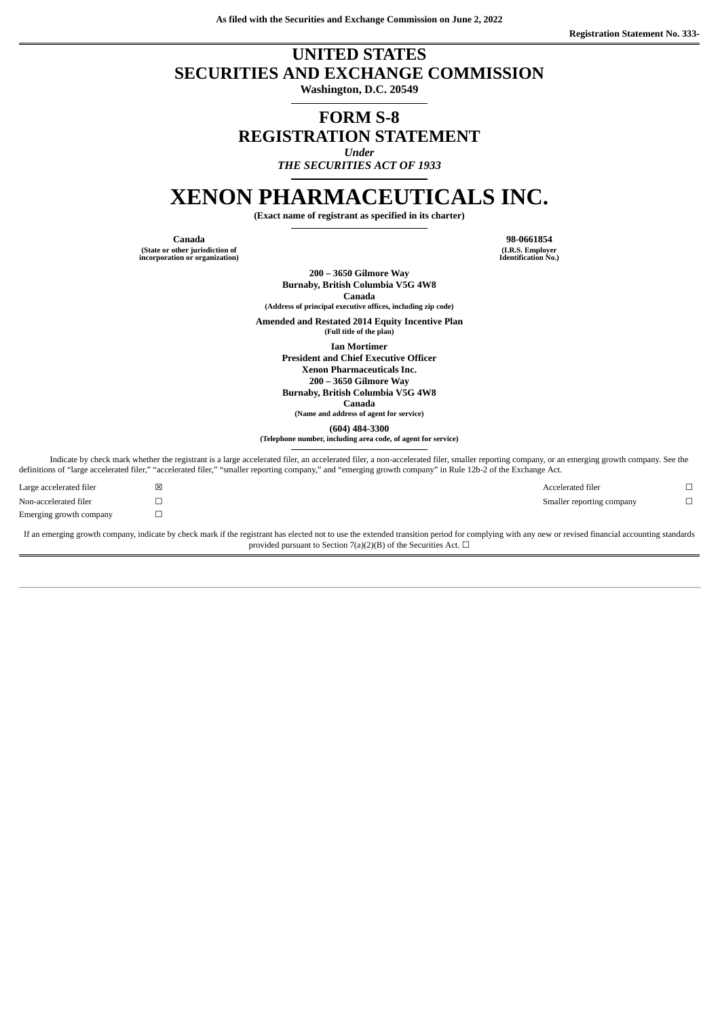**As filed with the Securities and Exchange Commission on June 2, 2022**

# **UNITED STATES SECURITIES AND EXCHANGE COMMISSION**

**Washington, D.C. 20549**

## **FORM S-8 REGISTRATION STATEMENT** *Under*

*THE SECURITIES ACT OF 1933*

# **XENON PHARMACEUTICALS INC.**

**(Exact name of registrant as specified in its charter)**

**Canada 98-0661854 (State or other jurisdiction of incorporation or organization)**

**(I.R.S. Employer Identification No.)**

**200 – 3650 Gilmore Way Burnaby, British Columbia V5G 4W8**

**Canada (Address of principal executive offices, including zip code)**

**Amended and Restated 2014 Equity Incentive Plan**

**(Full title of the plan)**

**Ian Mortimer**

**President and Chief Executive Officer**

**Xenon Pharmaceuticals Inc.**

**200 – 3650 Gilmore Way**

**Burnaby, British Columbia V5G 4W8**

**Canada (Name and address of agent for service)**

**(604) 484-3300**

**(Telephone number, including area code, of agent for service)**

Indicate by check mark whether the registrant is a large accelerated filer, an accelerated filer, a non-accelerated filer, smaller reporting company, or an emerging growth company. See the definitions of "large accelerated filer," "accelerated filer," "smaller reporting company," and "emerging growth company" in Rule 12b-2 of the Exchange Act.

| Large accelerated filer | × | Accelerated filer         |  |
|-------------------------|---|---------------------------|--|
| Non-accelerated filer   |   | Smaller reporting company |  |
| Emerging growth company |   |                           |  |

If an emerging growth company, indicate by check mark if the registrant has elected not to use the extended transition period for complying with any new or revised financial accounting standards provided pursuant to Section 7(a)(2)(B) of the Securities Act.  $\Box$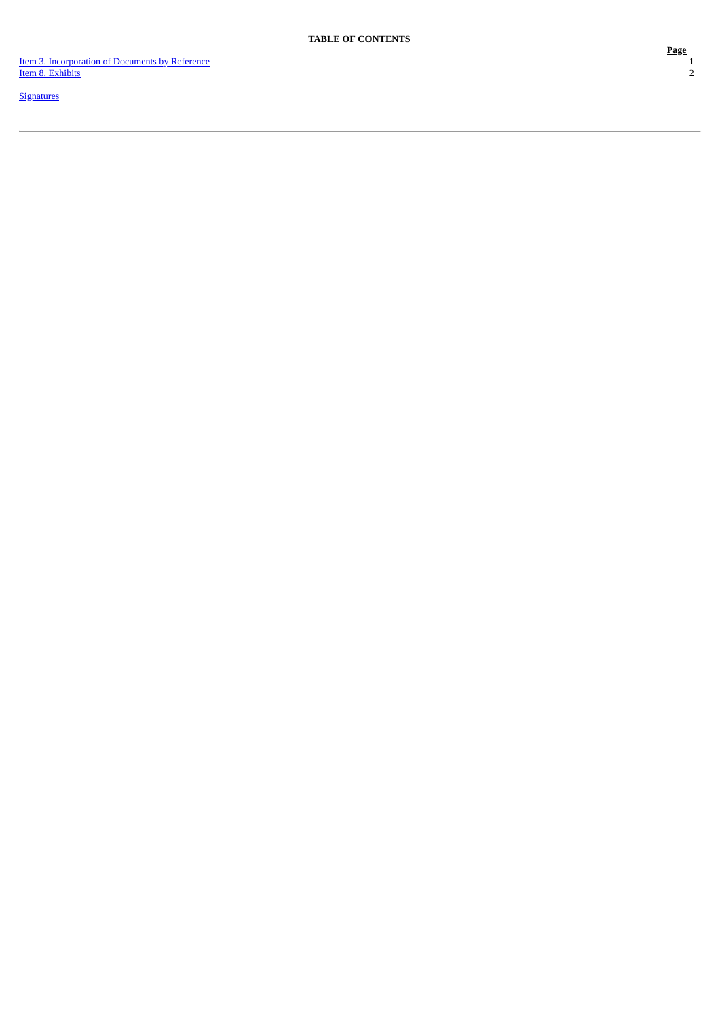Ite[m](#page-2-0) 3. Incorporation of Documents by Reference Ite[m](#page-3-0) 8. Exhibits

**[S](#page-4-0)ignatures** 

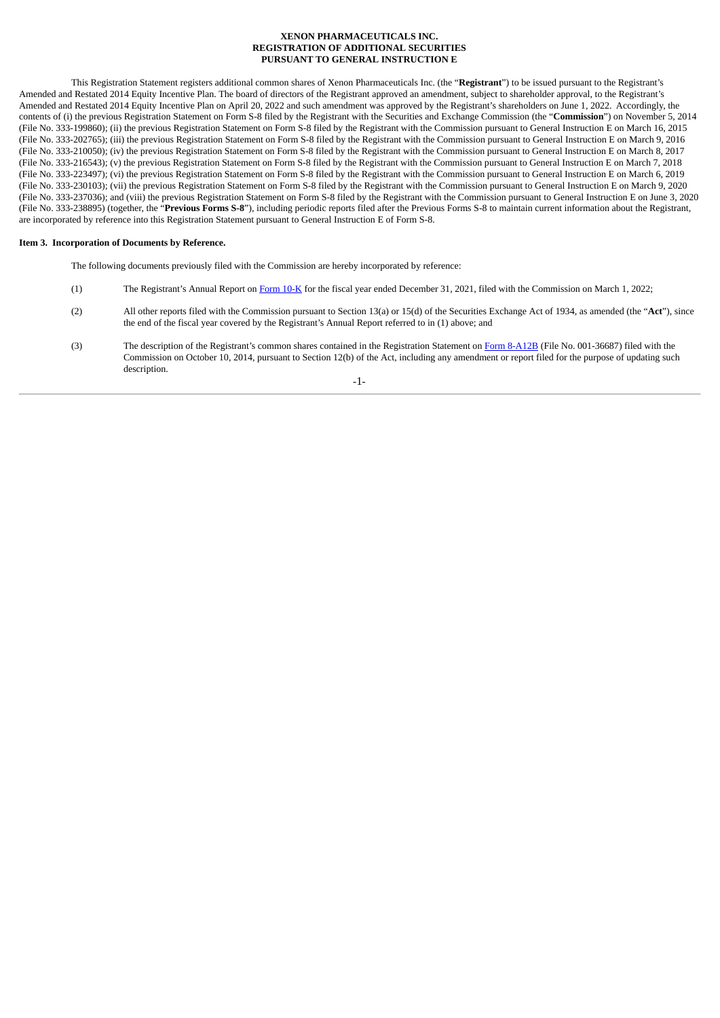#### **XENON PHARMACEUTICALS INC. REGISTRATION OF ADDITIONAL SECURITIES PURSUANT TO GENERAL INSTRUCTION E**

This Registration Statement registers additional common shares of Xenon Pharmaceuticals Inc. (the "**Registrant**") to be issued pursuant to the Registrant's Amended and Restated 2014 Equity Incentive Plan. The board of directors of the Registrant approved an amendment, subject to shareholder approval, to the Registrant's Amended and Restated 2014 Equity Incentive Plan on April 20, 2022 and such amendment was approved by the Registrant's shareholders on June 1, 2022. Accordingly, the contents of (i) the previous Registration Statement on Form S-8 filed by the Registrant with the Securities and Exchange Commission (the "**Commission**") on November 5, 2014 (File No. 333-199860); (ii) the previous Registration Statement on Form S-8 filed by the Registrant with the Commission pursuant to General Instruction E on March 16, 2015 (File No. 333-202765); (iii) the previous Registration Statement on Form S-8 filed by the Registrant with the Commission pursuant to General Instruction E on March 9, 2016 (File No. 333-210050); (iv) the previous Registration Statement on Form S-8 filed by the Registrant with the Commission pursuant to General Instruction E on March 8, 2017 (File No. 333-216543); (v) the previous Registration Statement on Form S-8 filed by the Registrant with the Commission pursuant to General Instruction E on March 7, 2018 (File No. 333-223497); (vi) the previous Registration Statement on Form S-8 filed by the Registrant with the Commission pursuant to General Instruction E on March 6, 2019 (File No. 333-230103); (vii) the previous Registration Statement on Form S-8 filed by the Registrant with the Commission pursuant to General Instruction E on March 9, 2020 (File No. 333-237036); and (viii) the previous Registration Statement on Form S-8 filed by the Registrant with the Commission pursuant to General Instruction E on June 3, 2020 (File No. 333-238895) (together, the "**Previous Forms S-8**"), including periodic reports filed after the Previous Forms S-8 to maintain current information about the Registrant, are incorporated by reference into this Registration Statement pursuant to General Instruction E of Form S-8.

#### <span id="page-2-0"></span>**Item 3. Incorporation of Documents by Reference.**

The following documents previously filed with the Commission are hereby incorporated by reference:

- (1) The Registrant's Annual Report on [Form](https://www.sec.gov/ix?doc=/Archives/edgar/data/1582313/000156459022008060/xene-10k_20211231.htm) 10-K for the fiscal year ended December 31, 2021, filed with the Commission on March 1, 2022;
- (2) All other reports filed with the Commission pursuant to Section 13(a) or 15(d) of the Securities Exchange Act of 1934, as amended (the "**Act**"), since the end of the fiscal year covered by the Registrant's Annual Report referred to in (1) above; and
- (3) The description of the Registrant's common shares contained in the Registration Statement on Form [8-A12B](http://www.sec.gov/Archives/edgar/data/0001582313/000119312514369146/d803267d8a12b.htm) (File No. 001-36687) filed with the Commission on October 10, 2014, pursuant to Section 12(b) of the Act, including any amendment or report filed for the purpose of updating such description.

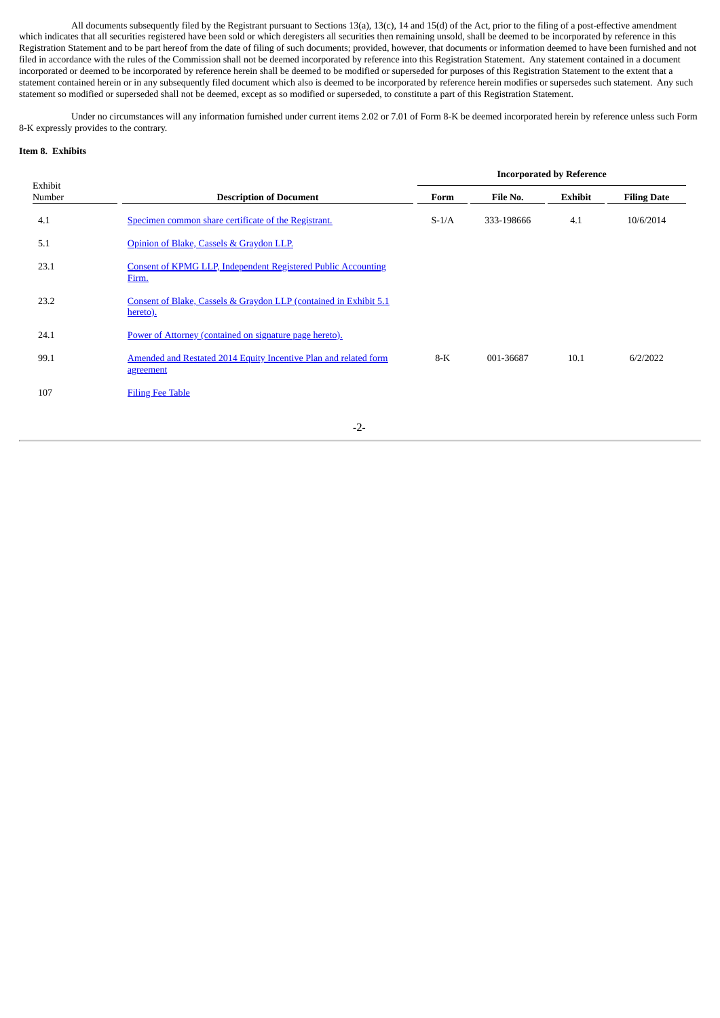All documents subsequently filed by the Registrant pursuant to Sections 13(a), 13(c), 14 and 15(d) of the Act, prior to the filing of a post-effective amendment which indicates that all securities registered have been sold or which deregisters all securities then remaining unsold, shall be deemed to be incorporated by reference in this Registration Statement and to be part hereof from the date of filing of such documents; provided, however, that documents or information deemed to have been furnished and not filed in accordance with the rules of the Commission shall not be deemed incorporated by reference into this Registration Statement. Any statement contained in a document incorporated or deemed to be incorporated by reference herein shall be deemed to be modified or superseded for purposes of this Registration Statement to the extent that a statement contained herein or in any subsequently filed document which also is deemed to be incorporated by reference herein modifies or supersedes such statement. Any such statement so modified or superseded shall not be deemed, except as so modified or superseded, to constitute a part of this Registration Statement.

Under no circumstances will any information furnished under current items 2.02 or 7.01 of Form 8-K be deemed incorporated herein by reference unless such Form 8-K expressly provides to the contrary.

#### <span id="page-3-0"></span>**Item 8. Exhibits**

|                   |                                                                                | <b>Incorporated by Reference</b> |            |         |                    |
|-------------------|--------------------------------------------------------------------------------|----------------------------------|------------|---------|--------------------|
| Exhibit<br>Number | <b>Description of Document</b>                                                 | Form                             | File No.   | Exhibit | <b>Filing Date</b> |
| 4.1               | Specimen common share certificate of the Registrant.                           | $S-1/A$                          | 333-198666 | 4.1     | 10/6/2014          |
| 5.1               | Opinion of Blake, Cassels & Graydon LLP.                                       |                                  |            |         |                    |
| 23.1              | <b>Consent of KPMG LLP, Independent Registered Public Accounting</b><br>Firm.  |                                  |            |         |                    |
| 23.2              | Consent of Blake, Cassels & Graydon LLP (contained in Exhibit 5.1)<br>hereto). |                                  |            |         |                    |
| 24.1              | Power of Attorney (contained on signature page hereto).                        |                                  |            |         |                    |
| 99.1              | Amended and Restated 2014 Equity Incentive Plan and related form<br>agreement  | $8-K$                            | 001-36687  | 10.1    | 6/2/2022           |
| 107               | <b>Filing Fee Table</b>                                                        |                                  |            |         |                    |
|                   |                                                                                |                                  |            |         |                    |

-2-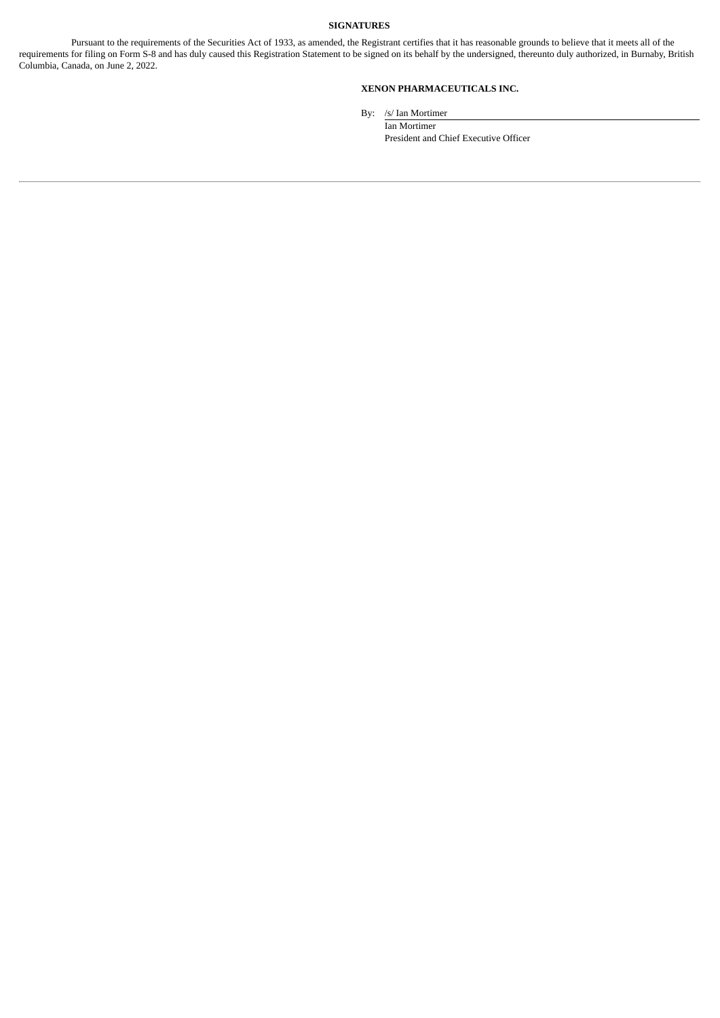#### **SIGNATURES**

<span id="page-4-1"></span><span id="page-4-0"></span>Pursuant to the requirements of the Securities Act of 1933, as amended, the Registrant certifies that it has reasonable grounds to believe that it meets all of the requirements for filing on Form S-8 and has duly caused this Registration Statement to be signed on its behalf by the undersigned, thereunto duly authorized, in Burnaby, British Columbia, Canada, on June 2, 2022.

#### **XENON PHARMACEUTICALS INC.**

By: /s/ Ian Mortimer

Ian Mortimer President and Chief Executive Officer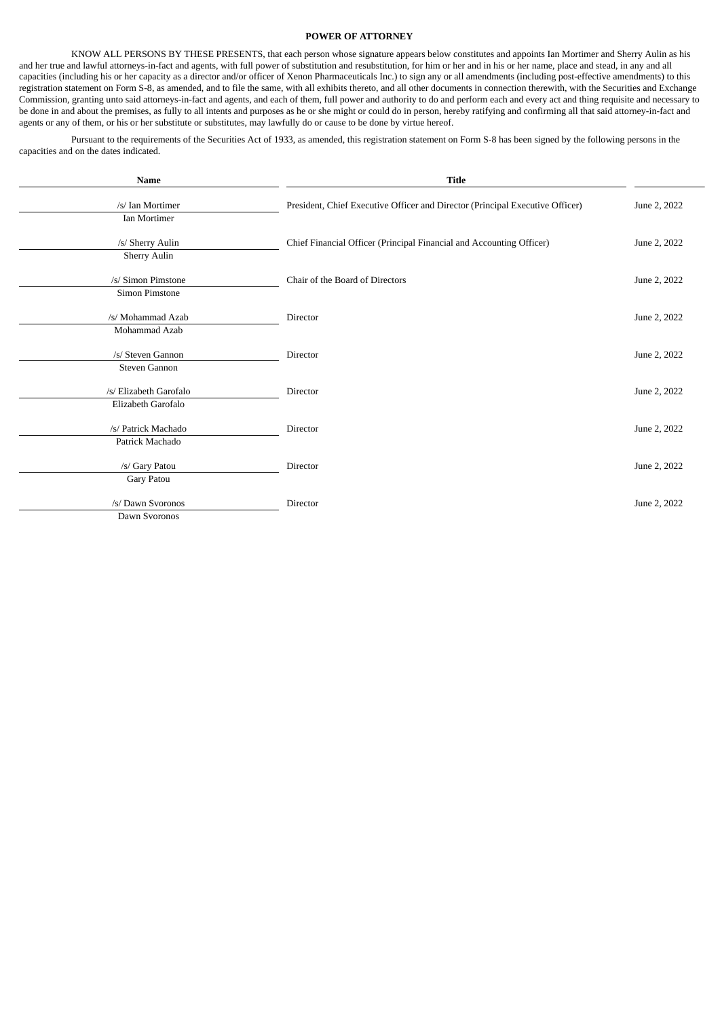#### **POWER OF ATTORNEY**

KNOW ALL PERSONS BY THESE PRESENTS, that each person whose signature appears below constitutes and appoints Ian Mortimer and Sherry Aulin as his and her true and lawful attorneys-in-fact and agents, with full power of substitution and resubstitution, for him or her and in his or her name, place and stead, in any and all capacities (including his or her capacity as a director and/or officer of Xenon Pharmaceuticals Inc.) to sign any or all amendments (including post-effective amendments) to this registration statement on Form S-8, as amended, and to file the same, with all exhibits thereto, and all other documents in connection therewith, with the Securities and Exchange Commission, granting unto said attorneys-in-fact and agents, and each of them, full power and authority to do and perform each and every act and thing requisite and necessary to be done in and about the premises, as fully to all intents and purposes as he or she might or could do in person, hereby ratifying and confirming all that said attorney-in-fact and agents or any of them, or his or her substitute or substitutes, may lawfully do or cause to be done by virtue hereof.

Pursuant to the requirements of the Securities Act of 1933, as amended, this registration statement on Form S-8 has been signed by the following persons in the capacities and on the dates indicated.

| Name                                         | <b>Title</b>                                                                  |              |
|----------------------------------------------|-------------------------------------------------------------------------------|--------------|
| /s/ Ian Mortimer<br>Ian Mortimer             | President, Chief Executive Officer and Director (Principal Executive Officer) | June 2, 2022 |
| /s/ Sherry Aulin<br><b>Sherry Aulin</b>      | Chief Financial Officer (Principal Financial and Accounting Officer)          | June 2, 2022 |
| /s/ Simon Pimstone<br>Simon Pimstone         | Chair of the Board of Directors                                               | June 2, 2022 |
| /s/ Mohammad Azab<br>Mohammad Azab           | Director                                                                      | June 2, 2022 |
| /s/ Steven Gannon<br>Steven Gannon           | Director                                                                      | June 2, 2022 |
| /s/ Elizabeth Garofalo<br>Elizabeth Garofalo | Director                                                                      | June 2, 2022 |
| /s/ Patrick Machado<br>Patrick Machado       | Director                                                                      | June 2, 2022 |
| /s/ Gary Patou<br>Gary Patou                 | Director                                                                      | June 2, 2022 |
| /s/ Dawn Svoronos<br>Dawn Svoronos           | Director                                                                      | June 2, 2022 |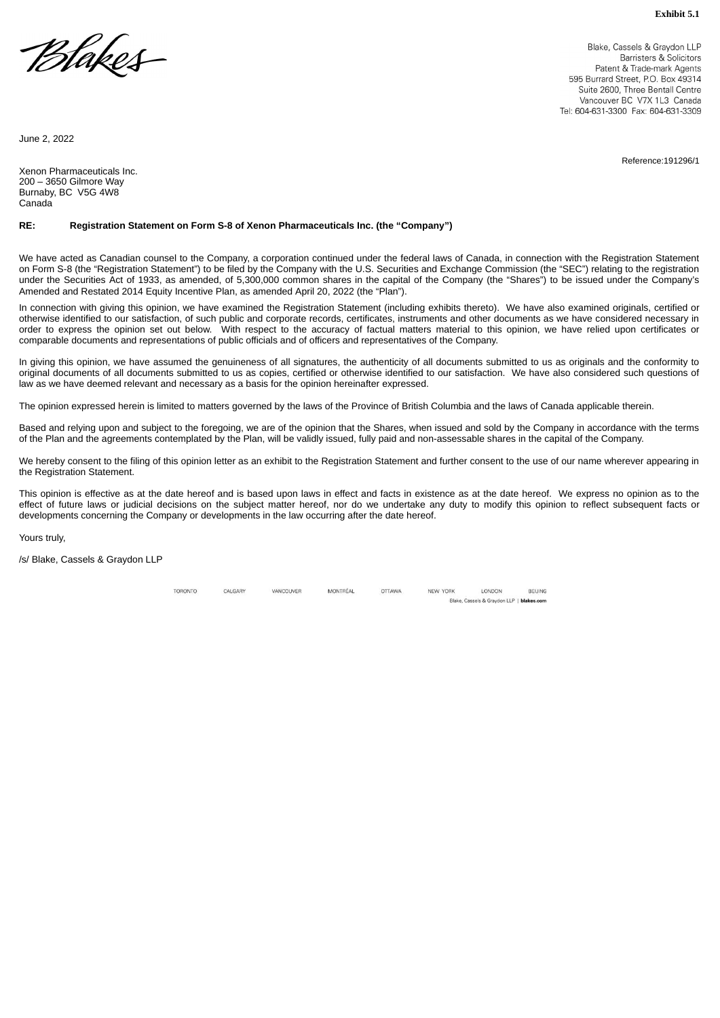<span id="page-6-0"></span>Blakes

Blake, Cassels & Graydon LLP Barristers & Solicitors Patent & Trade-mark Agents 595 Burrard Street, P.O. Box 49314 Suite 2600. Three Bentall Centre Vancouver BC, V7X 1L3, Canada Tel: 604-631-3300 Fax: 604-631-3309

Reference:191296/1

June 2, 2022

Xenon Pharmaceuticals Inc. 200 – 3650 Gilmore Way Burnaby, BC V5G 4W8 **Canada** 

#### **RE: Registration Statement on Form S-8 of Xenon Pharmaceuticals Inc. (the "Company")**

We have acted as Canadian counsel to the Company, a corporation continued under the federal laws of Canada, in connection with the Registration Statement on Form S-8 (the "Registration Statement") to be filed by the Company with the U.S. Securities and Exchange Commission (the "SEC") relating to the registration under the Securities Act of 1933, as amended, of 5,300,000 common shares in the capital of the Company (the "Shares") to be issued under the Company's Amended and Restated 2014 Equity Incentive Plan, as amended April 20, 2022 (the "Plan").

In connection with giving this opinion, we have examined the Registration Statement (including exhibits thereto). We have also examined originals, certified or otherwise identified to our satisfaction, of such public and corporate records, certificates, instruments and other documents as we have considered necessary in order to express the opinion set out below. With respect to the accuracy of factual matters material to this opinion, we have relied upon certificates or comparable documents and representations of public officials and of officers and representatives of the Company.

In giving this opinion, we have assumed the genuineness of all signatures, the authenticity of all documents submitted to us as originals and the conformity to original documents of all documents submitted to us as copies, certified or otherwise identified to our satisfaction. We have also considered such questions of law as we have deemed relevant and necessary as a basis for the opinion hereinafter expressed.

The opinion expressed herein is limited to matters governed by the laws of the Province of British Columbia and the laws of Canada applicable therein.

Based and relying upon and subject to the foregoing, we are of the opinion that the Shares, when issued and sold by the Company in accordance with the terms of the Plan and the agreements contemplated by the Plan, will be validly issued, fully paid and non-assessable shares in the capital of the Company.

We hereby consent to the filing of this opinion letter as an exhibit to the Registration Statement and further consent to the use of our name wherever appearing in the Registration Statement.

This opinion is effective as at the date hereof and is based upon laws in effect and facts in existence as at the date hereof. We express no opinion as to the effect of future laws or judicial decisions on the subject matter hereof, nor do we undertake any duty to modify this opinion to reflect subsequent facts or developments concerning the Company or developments in the law occurring after the date hereof.

Yours truly,

/s/ Blake, Cassels & Graydon LLP

TORONTO CALGARY VANCOUVER MONTRÉAL OTTAWA NEW YORK LONDON BEIJING Blake, Cassels & Graydon LLP | blakes.com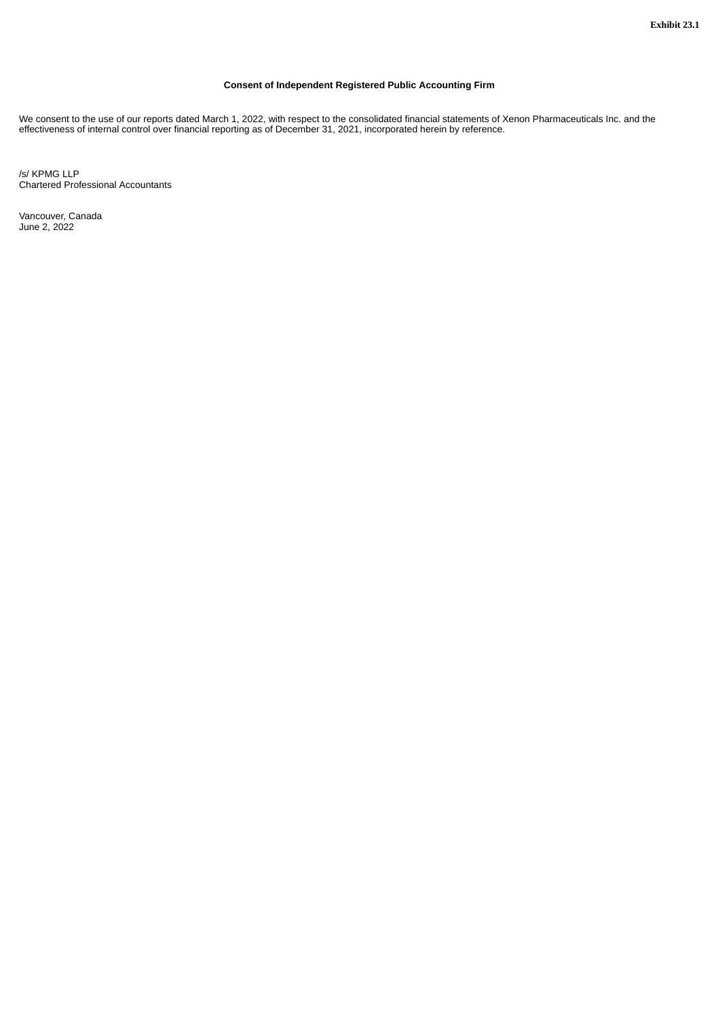#### **Consent of Independent Registered Public Accounting Firm**

<span id="page-7-0"></span>We consent to the use of our reports dated March 1, 2022, with respect to the consolidated financial statements of Xenon Pharmaceuticals Inc. and the effectiveness of internal control over financial reporting as of December 31, 2021, incorporated herein by reference.

/s/ KPMG LLP Chartered Professional Accountants

Vancouver, Canada June 2, 2022